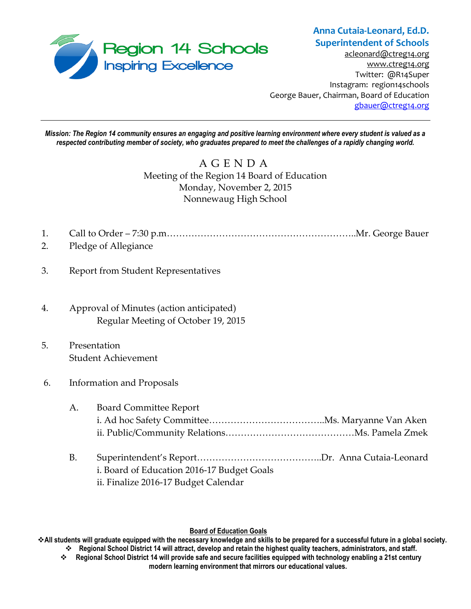

## **Anna Cutaia-Leonard, Ed.D. Superintendent of Schools**

[acleonard@ctreg14.org](mailto:acleonard@ctreg14.org) [www.ctreg14.org](http://www.ctreg14.org/) Twitter: @R14Super Instagram: region14schools George Bauer, Chairman, Board of Education [gbauer@ctreg14.org](mailto:gbauer@ctreg14.org)

*Mission: The Region 14 community ensures an engaging and positive learning environment where every student is valued as a respected contributing member of society, who graduates prepared to meet the challenges of a rapidly changing world.*

# A G E N D A Meeting of the Region 14 Board of Education Monday, November 2, 2015 Nonnewaug High School

- 1. Call to Order 7:30 p.m……………………………………………………..Mr. George Bauer
- 2. Pledge of Allegiance
- 3. Report from Student Representatives
- 4. Approval of Minutes (action anticipated) Regular Meeting of October 19, 2015
- 5. Presentation Student Achievement
- 6. Information and Proposals

| А. | <b>Board Committee Report</b> |  |
|----|-------------------------------|--|
|    |                               |  |
|    |                               |  |

B. Superintendent's Report…………………………………..Dr. Anna Cutaia-Leonard i. Board of Education 2016-17 Budget Goals ii. Finalize 2016-17 Budget Calendar

### **Board of Education Goals**

**All students will graduate equipped with the necessary knowledge and skills to be prepared for a successful future in a global society. Regional School District 14 will attract, develop and retain the highest quality teachers, administrators, and staff.**

 **Regional School District 14 will provide safe and secure facilities equipped with technology enabling a 21st century modern learning environment that mirrors our educational values.**